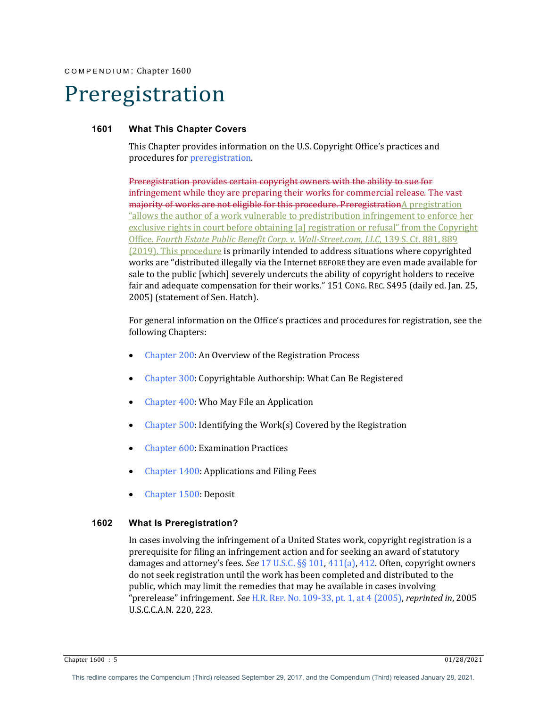# Preregistration

## **1601 What This Chapter Covers**

This Chapter provides information on the U.S. Copyright Office's practices and procedures for preregistration.

Preregistration provides certain copyright owners with the ability to sue for infringement while they are preparing their works for commercial release. The vast majority of works are not eligible for this procedure. PreregistrationA pregistration "allows the author of a work vulnerable to predistribution infringement to enforce her exclusive rights in court before obtaining [a] registration or refusal" from the Copyright Office. *Fourth Estate Public Benefit Corp. v. Wall-Street.com, LLC*, 139 S. Ct. 881, 889 (2019). This procedure is primarily intended to address situations where copyrighted works are "distributed illegally via the Internet BEFORE they are even made available for sale to the public [which] severely undercuts the ability of copyright holders to receive fair and adequate compensation for their works." 151 Cong. REC. S495 (daily ed. Jan. 25, 2005) (statement of Sen. Hatch).

For general information on the Office's practices and procedures for registration, see the following Chapters:

- Chapter 200: An Overview of the Registration Process
- Chapter 300: Copyrightable Authorship: What Can Be Registered
- Chapter 400: Who May File an Application
- Chapter  $500$ : Identifying the Work(s) Covered by the Registration
- Chapter 600: Examination Practices
- Chapter 1400: Applications and Filing Fees
- Chapter 1500: Deposit

#### **1602 What Is Preregistration?**

In cases involving the infringement of a United States work, copyright registration is a prerequisite for filing an infringement action and for seeking an award of statutory damages and attorney's fees. *See* 17 U.S.C. §§ 101, 411(a), 412. Often, copyright owners do not seek registration until the work has been completed and distributed to the public, which may limit the remedies that may be available in cases involving "prerelease" infringement. *See* H.R. REP. No. 109-33, pt. 1, at 4 (2005), *reprinted in*, 2005 U.S.C.C.A.N. 220, 223.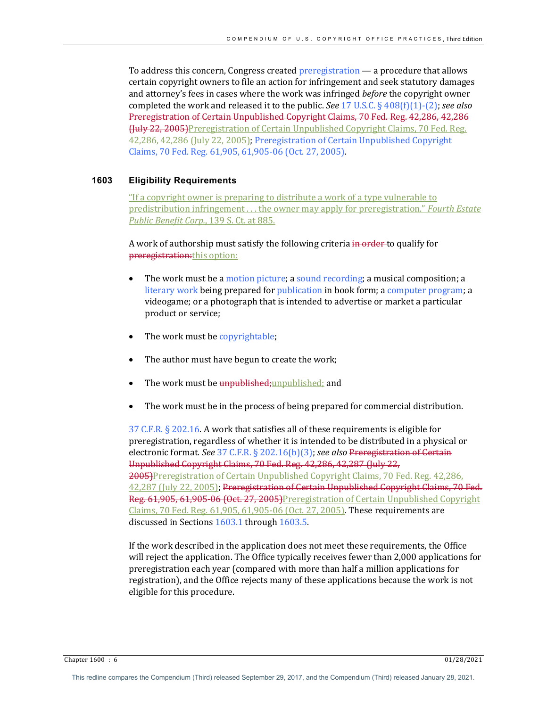To address this concern, Congress created preregistration  $-$  a procedure that allows certain copyright owners to file an action for infringement and seek statutory damages and attorney's fees in cases where the work was infringed before the copyright owner completed the work and released it to the public. *See* 17 U.S.C. § 408(f)(1)-(2); *see also* Preregistration of Certain Unpublished Copyright Claims, 70 Fed. Reg. 42,286, 42,286 Huly 22, 2005)Preregistration of Certain Unpublished Copyright Claims, 70 Fed. Reg. 42,286, 42,286 (July 22, 2005); Preregistration of Certain Unpublished Copyright Claims, 70 Fed. Reg. 61,905, 61,905-06 (Oct. 27, 2005).

## **1603 Eligibility Requirements**

"If a copyright owner is preparing to distribute a work of a type vulnerable to predistribution infringement ... the owner may apply for preregistration." *Fourth Estate* **Public Benefit Corp., 139 S. Ct. at 885.** 

A work of authorship must satisfy the following criteria in order to qualify for preregistration: this option:

- The work must be a motion picture; a sound recording; a musical composition; a literary work being prepared for publication in book form; a computer program; a videogame; or a photograph that is intended to advertise or market a particular product or service;
- The work must be copyrightable;
- The author must have begun to create the work;
- The work must be unpublished; unpublished; and
- The work must be in the process of being prepared for commercial distribution.

37 C.F.R.  $\S$  202.16. A work that satisfies all of these requirements is eligible for preregistration, regardless of whether it is intended to be distributed in a physical or electronic format. See 37 C.F.R. § 202.16(b)(3); see also Preregistration of Certain Unpublished Copyright Claims, 70 Fed. Reg. 42,286, 42,287 (July 22, 2005)Preregistration of Certain Unpublished Copyright Claims, 70 Fed. Reg. 42,286, 42,287 (July 22, 2005); Preregistration of Certain Unpublished Copyright Claims, 70 Fed. Reg. 61,905, 61,905-06 (Oct. 27, 2005)Preregistration of Certain Unpublished Copyright Claims,  $70$  Fed. Reg.  $61,905, 61,905$ -06 (Oct. 27, 2005). These requirements are discussed in Sections  $1603.1$  through  $1603.5$ .

If the work described in the application does not meet these requirements, the Office will reject the application. The Office typically receives fewer than 2,000 applications for preregistration each year (compared with more than half a million applications for registration), and the Office rejects many of these applications because the work is not eligible for this procedure.

Chapter 1600 : 6 01/28/2021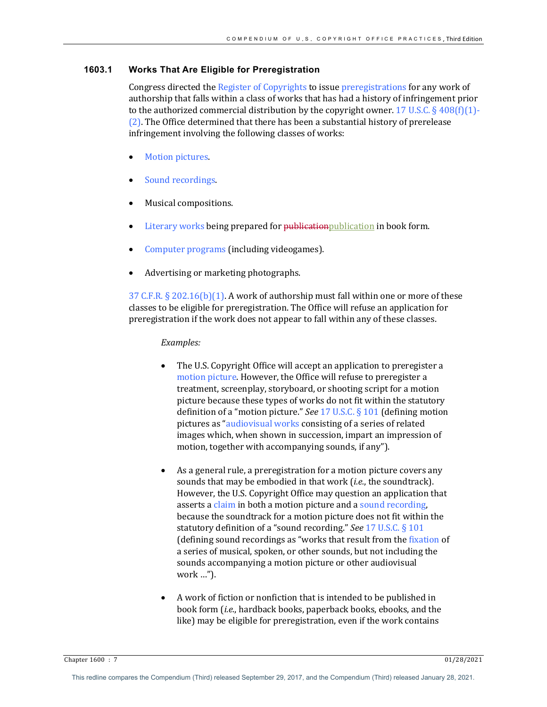# **1603.1 Works That Are Eligible for Preregistration**

Congress directed the Register of Copyrights to issue preregistrations for any work of authorship that falls within a class of works that has had a history of infringement prior to the authorized commercial distribution by the copyright owner. 17 U.S.C. § 408(f)(1)- $(2)$ . The Office determined that there has been a substantial history of prerelease infringement involving the following classes of works:

- **Motion pictures.**
- Sound recordings.
- Musical compositions.
- Literary works being prepared for publication publication in book form.
- Computer programs (including videogames).
- Advertising or marketing photographs.

37 C.F.R.  $\S 202.16(b)(1)$ . A work of authorship must fall within one or more of these classes to be eligible for preregistration. The Office will refuse an application for preregistration if the work does not appear to fall within any of these classes.

# *Examples:*

- The U.S. Copyright Office will accept an application to preregister a motion picture. However, the Office will refuse to preregister a treatment, screenplay, storyboard, or shooting script for a motion picture because these types of works do not fit within the statutory definition of a "motion picture." *See* 17 U.S.C. § 101 (defining motion pictures as "audiovisual works consisting of a series of related images which, when shown in succession, impart an impression of motion, together with accompanying sounds, if any").
- As a general rule, a preregistration for a motion picture covers any sounds that may be embodied in that work (*i.e.*, the soundtrack). However, the U.S. Copyright Office may question an application that asserts a claim in both a motion picture and a sound recording, because the soundtrack for a motion picture does not fit within the statutory definition of a "sound recording." See 17 U.S.C. § 101 (defining sound recordings as "works that result from the fixation of a series of musical, spoken, or other sounds, but not including the sounds accompanying a motion picture or other audiovisual work …").
- A work of fiction or nonfiction that is intended to be published in book form *(i.e.*, hardback books, paperback books, ebooks, and the like) may be eligible for preregistration, even if the work contains

Chapter 1600 : 7 01/28/2021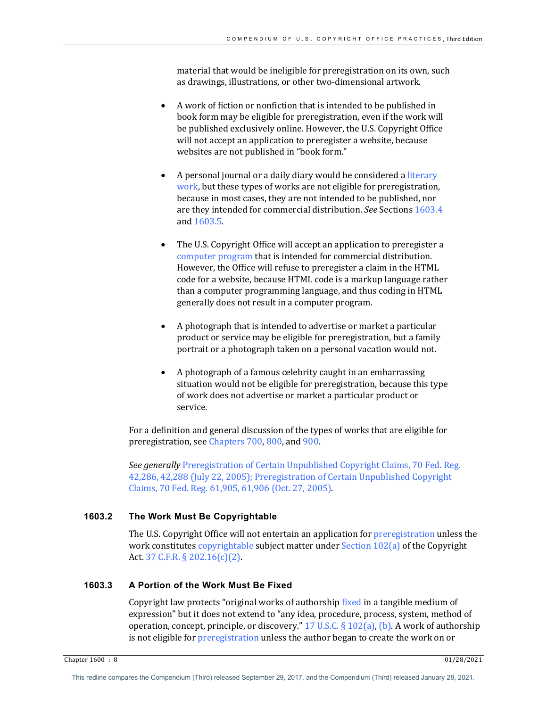material that would be ineligible for preregistration on its own, such as drawings, illustrations, or other two-dimensional artwork.

- A work of fiction or nonfiction that is intended to be published in book form may be eligible for preregistration, even if the work will be published exclusively online. However, the U.S. Copyright Office will not accept an application to preregister a website, because websites are not published in "book form."
- A personal journal or a daily diary would be considered a literary work, but these types of works are not eligible for preregistration, because in most cases, they are not intended to be published, nor are they intended for commercial distribution. See Sections 1603.4 and 1603.5
- The U.S. Copyright Office will accept an application to preregister a computer program that is intended for commercial distribution. However, the Office will refuse to preregister a claim in the HTML code for a website, because HTML code is a markup language rather than a computer programming language, and thus coding in HTML generally does not result in a computer program.
- A photograph that is intended to advertise or market a particular product or service may be eligible for preregistration, but a family portrait or a photograph taken on a personal vacation would not.
- A photograph of a famous celebrity caught in an embarrassing situation would not be eligible for preregistration, because this type of work does not advertise or market a particular product or service.

For a definition and general discussion of the types of works that are eligible for preregistration, see Chapters 700, 800, and 900.

**See generally Preregistration of Certain Unpublished Copyright Claims, 70 Fed. Reg.** 42,286, 42,288 (July 22, 2005); Preregistration of Certain Unpublished Copyright Claims, 70 Fed. Reg. 61,905, 61,906 (Oct. 27, 2005).

# **1603.2 The Work Must Be Copyrightable**

The U.S. Copyright Office will not entertain an application for preregistration unless the work constitutes copyrightable subject matter under Section  $102(a)$  of the Copyright Act. 37 C.F.R. § 202.16(c)(2).

# **1603.3 A Portion of the Work Must Be Fixed**

Copyright law protects "original works of authorship fixed in a tangible medium of expression" but it does not extend to "any idea, procedure, process, system, method of operation, concept, principle, or discovery."  $17$  U.S.C. §  $102(a)$ , (b). A work of authorship is not eligible for preregistration unless the author began to create the work on or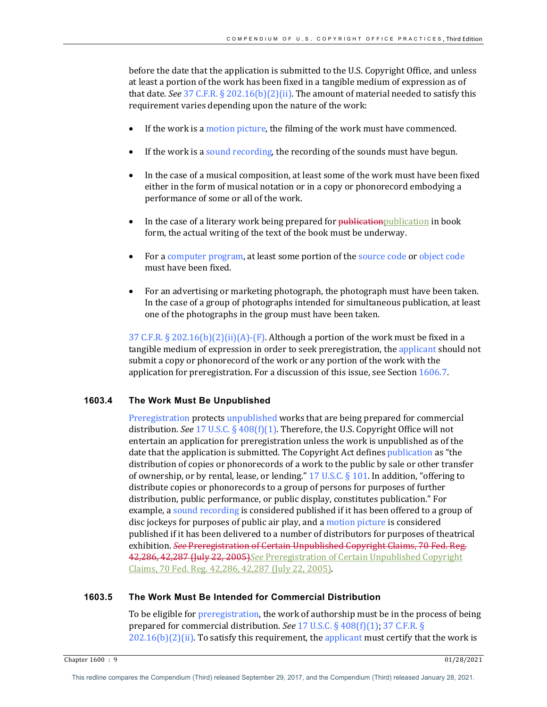before the date that the application is submitted to the U.S. Copyright Office, and unless at least a portion of the work has been fixed in a tangible medium of expression as of that date. *See* 37 C.F.R. § 202.16(b)(2)(ii). The amount of material needed to satisfy this requirement varies depending upon the nature of the work:

- If the work is a motion picture, the filming of the work must have commenced.
- If the work is a sound recording, the recording of the sounds must have begun.
- In the case of a musical composition, at least some of the work must have been fixed either in the form of musical notation or in a copy or phonorecord embodying a performance of some or all of the work.
- In the case of a literary work being prepared for publicationpublication in book form, the actual writing of the text of the book must be underway.
- For a computer program, at least some portion of the source code or object code must have been fixed.
- For an advertising or marketing photograph, the photograph must have been taken. In the case of a group of photographs intended for simultaneous publication, at least one of the photographs in the group must have been taken.

37 C.F.R.  $\S 202.16(b)(2)(ii)(A)-(F)$ . Although a portion of the work must be fixed in a tangible medium of expression in order to seek preregistration, the applicant should not submit a copy or phonorecord of the work or any portion of the work with the application for preregistration. For a discussion of this issue, see Section  $1606.7$ .

## **1603.4 The Work Must Be Unpublished**

Preregistration protects unpublished works that are being prepared for commercial distribution. See 17 U.S.C. § 408(f)(1). Therefore, the U.S. Copyright Office will not entertain an application for preregistration unless the work is unpublished as of the date that the application is submitted. The Copyright Act defines publication as "the distribution of copies or phonorecords of a work to the public by sale or other transfer of ownership, or by rental, lease, or lending."  $17$  U.S.C. § 101. In addition, "offering to distribute copies or phonorecords to a group of persons for purposes of further distribution, public performance, or public display, constitutes publication." For example, a sound recording is considered published if it has been offered to a group of disc jockeys for purposes of public air play, and a motion picture is considered published if it has been delivered to a number of distributors for purposes of theatrical exhibition. *See* Preregistration of Certain Unpublished Copyright Claims, 70 Fed. Reg. 42,286, 42,287 (July 22, 2005) See Preregistration of Certain Unpublished Copyright Claims, 70 Fed. Reg. 42,286, 42,287 (July 22, 2005).

## **1603.5 The Work Must Be Intended for Commercial Distribution**

To be eligible for preregistration, the work of authorship must be in the process of being prepared for commercial distribution. *See* 17 U.S.C. § 408(f)(1); 37 C.F.R. §  $202.16(b)(2)(ii)$ . To satisfy this requirement, the applicant must certify that the work is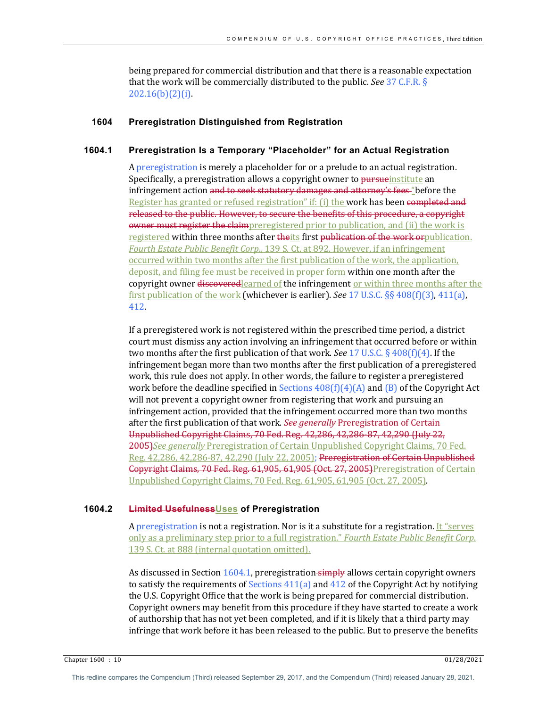being prepared for commercial distribution and that there is a reasonable expectation that the work will be commercially distributed to the public. *See* 37 C.F.R. § 202.16(b)(2)(i). 

## **1604 Preregistration Distinguished from Registration**

## **1604.1 Preregistration Is a Temporary "Placeholder" for an Actual Registration**

A preregistration is merely a placeholder for or a prelude to an actual registration. Specifically, a preregistration allows a copyright owner to pursue institute an infringement action and to seek statutory damages and attorney's fees "before the Register has granted or refused registration" if: (i) the work has been completed and released to the public. However, to secure the benefits of this procedure, a copyright owner must register the claimpreregistered prior to publication, and (ii) the work is registered within three months after theits first publication of the work or publication. Fourth Estate Public Benefit Corp., 139 S. Ct. at 892. However, if an infringement occurred within two months after the first publication of the work, the application, deposit, and filing fee must be received in proper form within one month after the copyright owner discovered learned of the infringement or within three months after the first publication of the work (whichever is earlier). *See* 17 U.S.C.  $\S$ § 408(f)(3), 411(a), 412.

If a preregistered work is not registered within the prescribed time period, a district court must dismiss any action involving an infringement that occurred before or within two months after the first publication of that work. *See* 17 U.S.C. § 408(f)(4). If the infringement began more than two months after the first publication of a preregistered work, this rule does not apply. In other words, the failure to register a preregistered work before the deadline specified in Sections  $408(f)(4)(A)$  and  $(B)$  of the Copyright Act will not prevent a copyright owner from registering that work and pursuing an infringement action, provided that the infringement occurred more than two months after the first publication of that work. See generally Preregistration of Certain Unpublished Copyright Claims, 70 Fed. Reg. 42,286, 42,286-87, 42,290 (July 22, 2005)*See generally* Preregistration of Certain Unpublished Copyright Claims, 70 Fed. Reg. 42,286, 42,286-87, 42,290 (July 22, 2005); Preregistration of Certain Unpublished Gopyright Claims, 70 Fed. Reg. 61,905, 61,905 (Oct. 27, 2005)Preregistration of Certain Unpublished Copyright Claims,  $70$  Fed. Reg.  $61,905, 61,905$  (Oct.  $27,2005$ ).

#### **1604.2 Limited UsefulnessUses of Preregistration**

A preregistration is not a registration. Nor is it a substitute for a registration. It "serves only as a preliminary step prior to a full registration." *Fourth Estate Public Benefit Corp.* 139 S. Ct. at 888 (internal quotation omitted).

As discussed in Section  $1604.1$ , preregistration simply allows certain copyright owners to satisfy the requirements of Sections  $411(a)$  and  $412$  of the Copyright Act by notifying the U.S. Copyright Office that the work is being prepared for commercial distribution. Copyright owners may benefit from this procedure if they have started to create a work of authorship that has not yet been completed, and if it is likely that a third party may infringe that work before it has been released to the public. But to preserve the benefits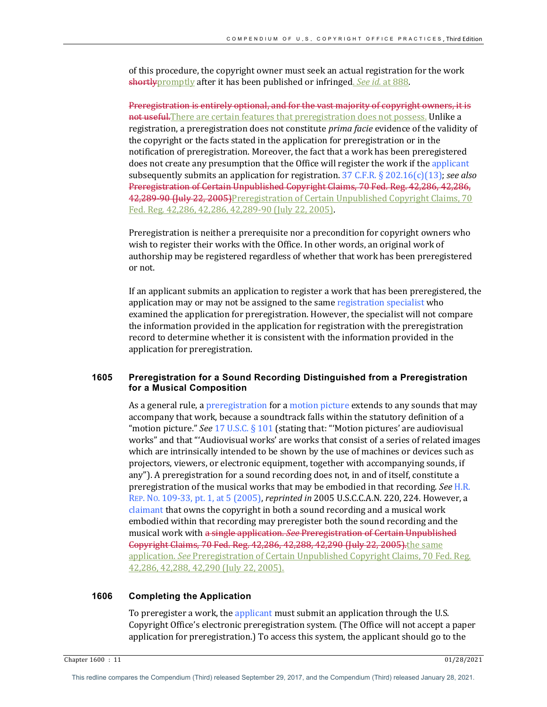of this procedure, the copyright owner must seek an actual registration for the work shortlypromptly after it has been published or infringed. *See id.* at 888.

Preregistration is entirely optional, and for the vast majority of copyright owners, it is not useful. There are certain features that preregistration does not possess. Unlike a registration, a preregistration does not constitute *prima facie* evidence of the validity of the copyright or the facts stated in the application for preregistration or in the notification of preregistration. Moreover, the fact that a work has been preregistered does not create any presumption that the Office will register the work if the applicant subsequently submits an application for registration.  $37 \text{ C.F.R.}$  §  $202.16(c)(13)$ ; *see also* Preregistration of Certain Unpublished Copyright Claims, 70 Fed. Reg. 42,286, 42,286, 42,289-90 (July 22, 2005) Preregistration of Certain Unpublished Copyright Claims, 70 Fed. Reg. 42,286, 42,286, 42,289-90 (July 22, 2005).

Preregistration is neither a prerequisite nor a precondition for copyright owners who wish to register their works with the Office. In other words, an original work of authorship may be registered regardless of whether that work has been preregistered or not.

If an applicant submits an application to register a work that has been preregistered, the application may or may not be assigned to the same registration specialist who examined the application for preregistration. However, the specialist will not compare the information provided in the application for registration with the preregistration record to determine whether it is consistent with the information provided in the application for preregistration.

## **1605 Preregistration for a Sound Recording Distinguished from a Preregistration for a Musical Composition**

As a general rule, a preregistration for a motion picture extends to any sounds that may accompany that work, because a soundtrack falls within the statutory definition of a "motion picture." *See* 17 U.S.C. § 101 (stating that: "'Motion pictures' are audiovisual works" and that "'Audiovisual works' are works that consist of a series of related images which are intrinsically intended to be shown by the use of machines or devices such as projectors, viewers, or electronic equipment, together with accompanying sounds, if any"). A preregistration for a sound recording does not, in and of itself, constitute a preregistration of the musical works that may be embodied in that recording. *See* H.R. REP. No. 109-33, pt. 1, at 5 (2005), *reprinted in* 2005 U.S.C.C.A.N. 220, 224. However, a claimant that owns the copyright in both a sound recording and a musical work embodied within that recording may preregister both the sound recording and the musical work with a single application. See Preregistration of Certain Unpublished **Copyright Claims, 70 Fed. Reg. 42,286, 42,288, 42,290 (July 22, 2005).**the same application. *See* Preregistration of Certain Unpublished Copyright Claims, 70 Fed. Reg. 42,286, 42,288, 42,290 (July 22, 2005).

#### **1606 Completing the Application**

To preregister a work, the applicant must submit an application through the U.S. Copyright Office's electronic preregistration system. (The Office will not accept a paper application for preregistration.) To access this system, the applicant should go to the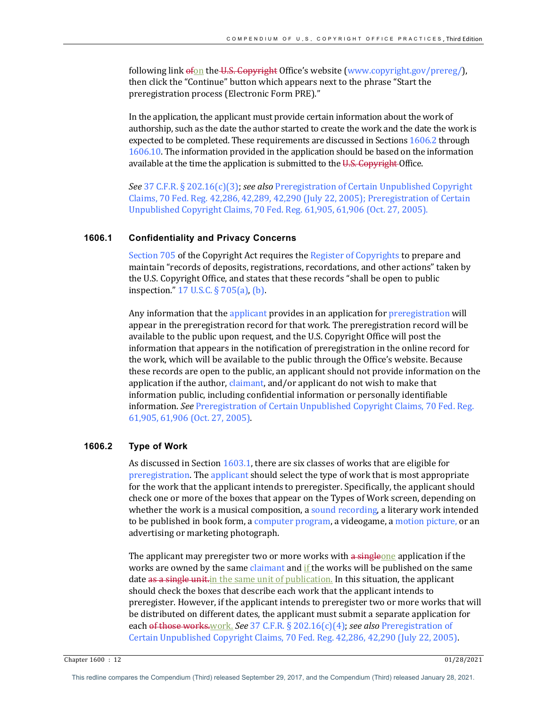following link  $\epsilon$  fon the U.S. Copyright Office's website (www.copyright.gov/prereg/), then click the "Continue" button which appears next to the phrase "Start the preregistration process (Electronic Form PRE)."

In the application, the applicant must provide certain information about the work of authorship, such as the date the author started to create the work and the date the work is expected to be completed. These requirements are discussed in Sections 1606.2 through 1606.10. The information provided in the application should be based on the information available at the time the application is submitted to the U.S. Copyright Office.

See 37 C.F.R. § 202.16(c)(3); see also Preregistration of Certain Unpublished Copyright Claims, 70 Fed. Reg. 42,286, 42,289, 42,290 (July 22, 2005); Preregistration of Certain Unpublished Copyright Claims, 70 Fed. Reg. 61,905, 61,906 (Oct. 27, 2005).

#### **1606.1 Confidentiality and Privacy Concerns**

Section 705 of the Copyright Act requires the Register of Copyrights to prepare and maintain "records of deposits, registrations, recordations, and other actions" taken by the U.S. Copyright Office, and states that these records "shall be open to public inspection."  $17 \text{ U.S.C.}$  §  $705(a)$ , (b).

Any information that the applicant provides in an application for preregistration will appear in the preregistration record for that work. The preregistration record will be available to the public upon request, and the U.S. Copyright Office will post the information that appears in the notification of preregistration in the online record for the work, which will be available to the public through the Office's website. Because these records are open to the public, an applicant should not provide information on the application if the author, claimant, and/or applicant do not wish to make that information public, including confidential information or personally identifiable information. See Preregistration of Certain Unpublished Copyright Claims, 70 Fed. Reg. 61,905, 61,906 (Oct. 27, 2005).

## **1606.2 Type of Work**

As discussed in Section  $1603.1$ , there are six classes of works that are eligible for preregistration. The applicant should select the type of work that is most appropriate for the work that the applicant intends to preregister. Specifically, the applicant should check one or more of the boxes that appear on the Types of Work screen, depending on whether the work is a musical composition, a sound recording, a literary work intended to be published in book form, a computer program, a videogame, a motion picture, or an advertising or marketing photograph.

The applicant may preregister two or more works with a singleone application if the works are owned by the same claimant and if the works will be published on the same date as a single unit in the same unit of publication. In this situation, the applicant should check the boxes that describe each work that the applicant intends to preregister. However, if the applicant intends to preregister two or more works that will be distributed on different dates, the applicant must submit a separate application for each of those works.work. See 37 C.F.R. § 202.16(c)(4); see also Preregistration of Certain Unpublished Copyright Claims, 70 Fed. Reg. 42,286, 42,290 (July 22, 2005).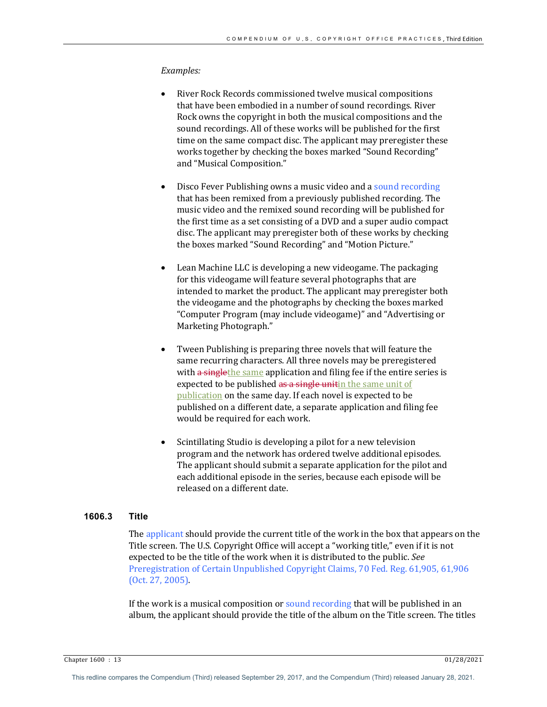#### *Examples:*

- River Rock Records commissioned twelve musical compositions that have been embodied in a number of sound recordings. River Rock owns the copyright in both the musical compositions and the sound recordings. All of these works will be published for the first time on the same compact disc. The applicant may preregister these works together by checking the boxes marked "Sound Recording" and "Musical Composition."
- Disco Fever Publishing owns a music video and a sound recording that has been remixed from a previously published recording. The music video and the remixed sound recording will be published for the first time as a set consisting of a DVD and a super audio compact disc. The applicant may preregister both of these works by checking the boxes marked "Sound Recording" and "Motion Picture."
- Lean Machine LLC is developing a new videogame. The packaging for this videogame will feature several photographs that are intended to market the product. The applicant may preregister both the videogame and the photographs by checking the boxes marked "Computer Program (may include videogame)" and "Advertising or Marketing Photograph."
- Tween Publishing is preparing three novels that will feature the same recurring characters. All three novels may be preregistered with a singlethe same application and filing fee if the entire series is expected to be published as a single unitin the same unit of publication on the same day. If each novel is expected to be published on a different date, a separate application and filing fee would be required for each work.
- Scintillating Studio is developing a pilot for a new television program and the network has ordered twelve additional episodes. The applicant should submit a separate application for the pilot and each additional episode in the series, because each episode will be released on a different date.

## **1606.3 Title**

The applicant should provide the current title of the work in the box that appears on the Title screen. The U.S. Copyright Office will accept a "working title," even if it is not expected to be the title of the work when it is distributed to the public. See Preregistration of Certain Unpublished Copyright Claims, 70 Fed. Reg. 61,905, 61,906  $(Oct. 27, 2005).$ 

If the work is a musical composition or sound recording that will be published in an album, the applicant should provide the title of the album on the Title screen. The titles

Chapter 1600 : 13 01/28/2021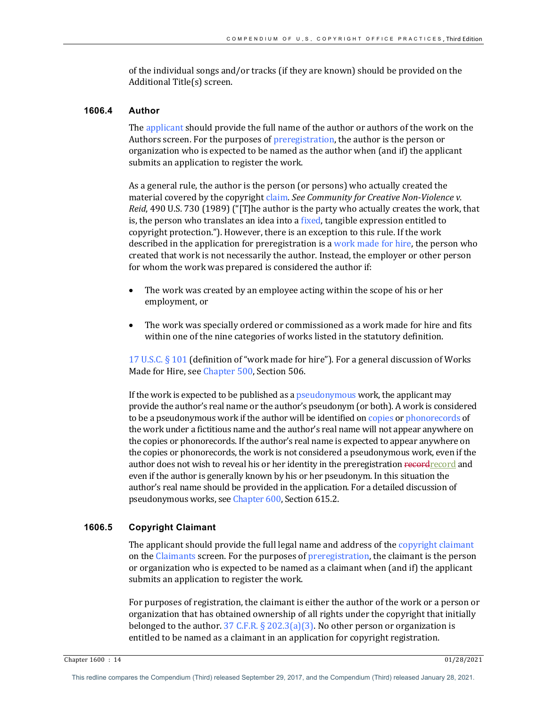of the individual songs and/or tracks (if they are known) should be provided on the Additional Title(s) screen.

#### **1606.4 Author**

The applicant should provide the full name of the author or authors of the work on the Authors screen. For the purposes of preregistration, the author is the person or organization who is expected to be named as the author when (and if) the applicant submits an application to register the work.

As a general rule, the author is the person (or persons) who actually created the material covered by the copyright claim. See Community for Creative Non-Violence v. *Reid*, 490 U.S. 730 (1989) ("[T]he author is the party who actually creates the work, that is, the person who translates an idea into a fixed, tangible expression entitled to copyright protection."). However, there is an exception to this rule. If the work described in the application for preregistration is a work made for hire, the person who created that work is not necessarily the author. Instead, the employer or other person for whom the work was prepared is considered the author if:

- The work was created by an employee acting within the scope of his or her employment, or
- The work was specially ordered or commissioned as a work made for hire and fits within one of the nine categories of works listed in the statutory definition.

17 U.S.C.  $\S$  101 (definition of "work made for hire"). For a general discussion of Works Made for Hire, see Chapter 500, Section 506.

If the work is expected to be published as a pseudonymous work, the applicant may provide the author's real name or the author's pseudonym (or both). A work is considered to be a pseudonymous work if the author will be identified on copies or phonorecords of the work under a fictitious name and the author's real name will not appear anywhere on the copies or phonorecords. If the author's real name is expected to appear anywhere on the copies or phonorecords, the work is not considered a pseudonymous work, even if the author does not wish to reveal his or her identity in the preregistration record record and even if the author is generally known by his or her pseudonym. In this situation the author's real name should be provided in the application. For a detailed discussion of pseudonymous works, see Chapter 600, Section 615.2.

# **1606.5 Copyright Claimant**

The applicant should provide the full legal name and address of the copyright claimant on the Claimants screen. For the purposes of preregistration, the claimant is the person or organization who is expected to be named as a claimant when (and if) the applicant submits an application to register the work.

For purposes of registration, the claimant is either the author of the work or a person or organization that has obtained ownership of all rights under the copyright that initially belonged to the author.  $37 \text{ C.F.R.}$  § 202.3(a)(3). No other person or organization is entitled to be named as a claimant in an application for copyright registration.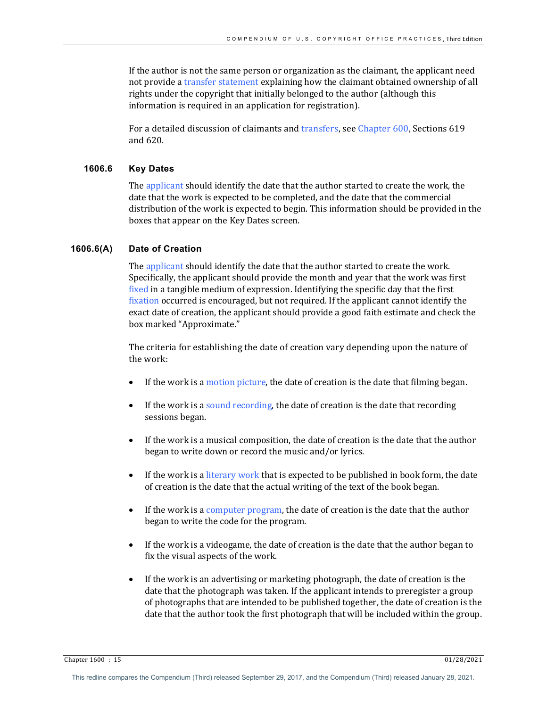If the author is not the same person or organization as the claimant, the applicant need not provide a transfer statement explaining how the claimant obtained ownership of all rights under the copyright that initially belonged to the author (although this information is required in an application for registration).

For a detailed discussion of claimants and transfers, see Chapter 600, Sections 619 and 620.

## **1606.6 Key Dates**

The applicant should identify the date that the author started to create the work, the date that the work is expected to be completed, and the date that the commercial distribution of the work is expected to begin. This information should be provided in the boxes that appear on the Key Dates screen.

#### **1606.6(A) Date of Creation**

The applicant should identify the date that the author started to create the work. Specifically, the applicant should provide the month and year that the work was first fixed in a tangible medium of expression. Identifying the specific day that the first fixation occurred is encouraged, but not required. If the applicant cannot identify the exact date of creation, the applicant should provide a good faith estimate and check the box marked "Approximate."

The criteria for establishing the date of creation vary depending upon the nature of the work:

- If the work is a motion picture, the date of creation is the date that filming began.
- If the work is a sound recording, the date of creation is the date that recording sessions began.
- If the work is a musical composition, the date of creation is the date that the author began to write down or record the music and/or lyrics.
- If the work is a literary work that is expected to be published in book form, the date of creation is the date that the actual writing of the text of the book began.
- If the work is a computer program, the date of creation is the date that the author began to write the code for the program.
- If the work is a videogame, the date of creation is the date that the author began to fix the visual aspects of the work.
- If the work is an advertising or marketing photograph, the date of creation is the date that the photograph was taken. If the applicant intends to preregister a group of photographs that are intended to be published together, the date of creation is the date that the author took the first photograph that will be included within the group.

Chapter 1600 : 15 01/28/2021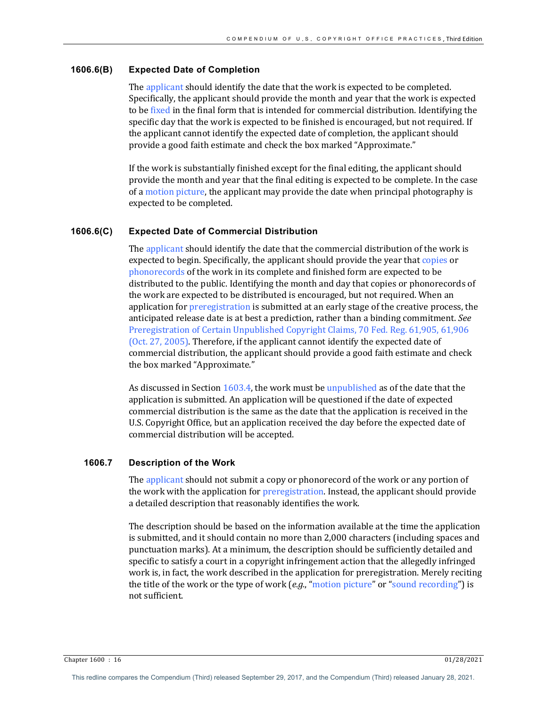## **1606.6(B) Expected Date of Completion**

The applicant should identify the date that the work is expected to be completed. Specifically, the applicant should provide the month and year that the work is expected to be fixed in the final form that is intended for commercial distribution. Identifying the specific day that the work is expected to be finished is encouraged, but not required. If the applicant cannot identify the expected date of completion, the applicant should provide a good faith estimate and check the box marked "Approximate."

If the work is substantially finished except for the final editing, the applicant should provide the month and year that the final editing is expected to be complete. In the case of a motion picture, the applicant may provide the date when principal photography is expected to be completed.

## **1606.6(C) Expected Date of Commercial Distribution**

The applicant should identify the date that the commercial distribution of the work is expected to begin. Specifically, the applicant should provide the year that copies or phonorecords of the work in its complete and finished form are expected to be distributed to the public. Identifying the month and day that copies or phonorecords of the work are expected to be distributed is encouraged, but not required. When an application for preregistration is submitted at an early stage of the creative process, the anticipated release date is at best a prediction, rather than a binding commitment. See Preregistration of Certain Unpublished Copyright Claims, 70 Fed. Reg. 61,905, 61,906 (Oct. 27, 2005). Therefore, if the applicant cannot identify the expected date of commercial distribution, the applicant should provide a good faith estimate and check the box marked "Approximate."

As discussed in Section  $1603.4$ , the work must be unpublished as of the date that the application is submitted. An application will be questioned if the date of expected commercial distribution is the same as the date that the application is received in the U.S. Copyright Office, but an application received the day before the expected date of commercial distribution will be accepted.

# **1606.7 Description of the Work**

The applicant should not submit a copy or phonorecord of the work or any portion of the work with the application for preregistration. Instead, the applicant should provide a detailed description that reasonably identifies the work.

The description should be based on the information available at the time the application is submitted, and it should contain no more than 2,000 characters (including spaces and punctuation marks). At a minimum, the description should be sufficiently detailed and specific to satisfy a court in a copyright infringement action that the allegedly infringed work is, in fact, the work described in the application for preregistration. Merely reciting the title of the work or the type of work (e.g., "motion picture" or "sound recording") is not sufficient.

Chapter 1600 : 16 01/28/2021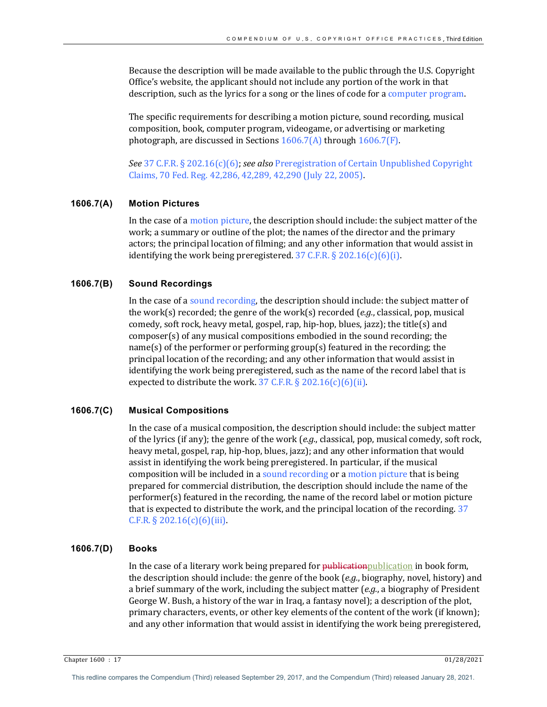Because the description will be made available to the public through the U.S. Copyright Office's website, the applicant should not include any portion of the work in that description, such as the lyrics for a song or the lines of code for a computer program.

The specific requirements for describing a motion picture, sound recording, musical composition, book, computer program, videogame, or advertising or marketing photograph, are discussed in Sections  $1606.7(A)$  through  $1606.7(F)$ .

*See* 37 C.F.R. § 202.16(c)(6); *see also* Preregistration of Certain Unpublished Copyright Claims, 70 Fed. Reg. 42,286, 42,289, 42,290 (July 22, 2005).

#### **1606.7(A) Motion Pictures**

In the case of a motion picture, the description should include: the subject matter of the work; a summary or outline of the plot; the names of the director and the primary actors; the principal location of filming; and any other information that would assist in identifying the work being preregistered.  $37$  C.F.R. § 202.16(c)(6)(i).

#### **1606.7(B) Sound Recordings**

In the case of a sound recording, the description should include: the subject matter of the work(s) recorded; the genre of the work(s) recorded  $(e.g.,$  classical, pop, musical comedy, soft rock, heavy metal, gospel, rap, hip-hop, blues, jazz); the title(s) and  $compresses$  composer(s) of any musical compositions embodied in the sound recording; the  $name(s)$  of the performer or performing group(s) featured in the recording; the principal location of the recording; and any other information that would assist in identifying the work being preregistered, such as the name of the record label that is expected to distribute the work.  $37$  C.F.R. § 202.16(c)(6)(ii).

### **1606.7(C) Musical Compositions**

In the case of a musical composition, the description should include: the subject matter of the lyrics (if any); the genre of the work (*e.g.*, classical, pop, musical comedy, soft rock, heavy metal, gospel, rap, hip-hop, blues, jazz); and any other information that would assist in identifying the work being preregistered. In particular, if the musical composition will be included in a sound recording or a motion picture that is being prepared for commercial distribution, the description should include the name of the performer(s) featured in the recording, the name of the record label or motion picture that is expected to distribute the work, and the principal location of the recording. 37 C.F.R.  $\S 202.16(c)(6)(iii)$ .

#### **1606.7(D) Books**

In the case of a literary work being prepared for publicationpublication in book form, the description should include: the genre of the book (*e.g.*, biography, novel, history) and a brief summary of the work, including the subject matter  $(e.g.,)$  a biography of President George W. Bush, a history of the war in Iraq, a fantasy novel); a description of the plot, primary characters, events, or other key elements of the content of the work (if known); and any other information that would assist in identifying the work being preregistered,

Chapter 1600 : 17 01/28/2021

This redline compares the Compendium (Third) released September 29, 2017, and the Compendium (Third) released January 28, 2021.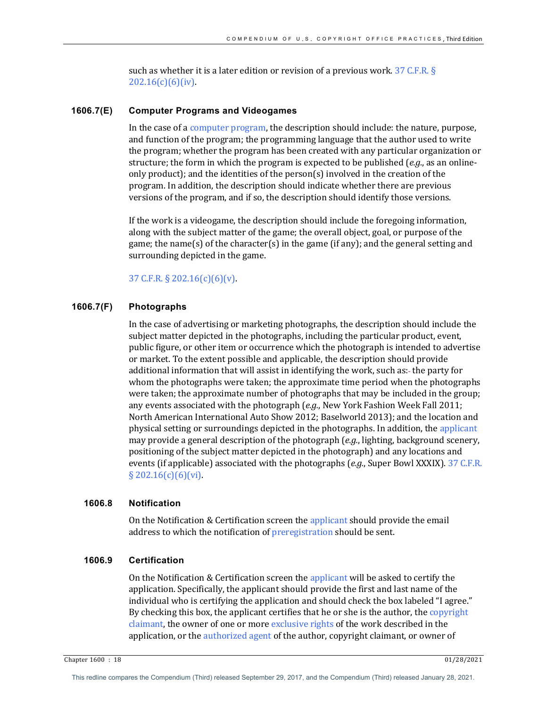such as whether it is a later edition or revision of a previous work.  $37$  C.F.R. § 202.16(c)(6)(iv).

#### **1606.7(E) Computer Programs and Videogames**

In the case of a computer program, the description should include: the nature, purpose, and function of the program; the programming language that the author used to write the program; whether the program has been created with any particular organization or structure; the form in which the program is expected to be published  $(e.g.,$  as an onlineonly product); and the identities of the person(s) involved in the creation of the program. In addition, the description should indicate whether there are previous versions of the program, and if so, the description should identify those versions.

If the work is a videogame, the description should include the foregoing information, along with the subject matter of the game; the overall object, goal, or purpose of the game; the name(s) of the character(s) in the game (if any); and the general setting and surrounding depicted in the game.

# 37 C.F.R.  $\S 202.16(c)(6)(v)$ .

# **1606.7(F) Photographs**

In the case of advertising or marketing photographs, the description should include the subject matter depicted in the photographs, including the particular product, event, public figure, or other item or occurrence which the photograph is intended to advertise or market. To the extent possible and applicable, the description should provide additional information that will assist in identifying the work, such as:- the party for whom the photographs were taken; the approximate time period when the photographs were taken; the approximate number of photographs that may be included in the group; any events associated with the photograph (*e.g.*, New York Fashion Week Fall 2011; North American International Auto Show 2012; Baselworld 2013); and the location and physical setting or surroundings depicted in the photographs. In addition, the applicant may provide a general description of the photograph (*e.g.*, lighting, background scenery, positioning of the subject matter depicted in the photograph) and any locations and events (if applicable) associated with the photographs (*e.g.*, Super Bowl XXXIX). 37 C.F.R.  $§$  202.16(c)(6)(vi).

## **1606.8 Notification**

On the Notification & Certification screen the applicant should provide the email address to which the notification of preregistration should be sent.

## **1606.9 Certification**

On the Notification & Certification screen the applicant will be asked to certify the application. Specifically, the applicant should provide the first and last name of the individual who is certifying the application and should check the box labeled "I agree." By checking this box, the applicant certifies that he or she is the author, the copyright claimant, the owner of one or more exclusive rights of the work described in the application, or the authorized agent of the author, copyright claimant, or owner of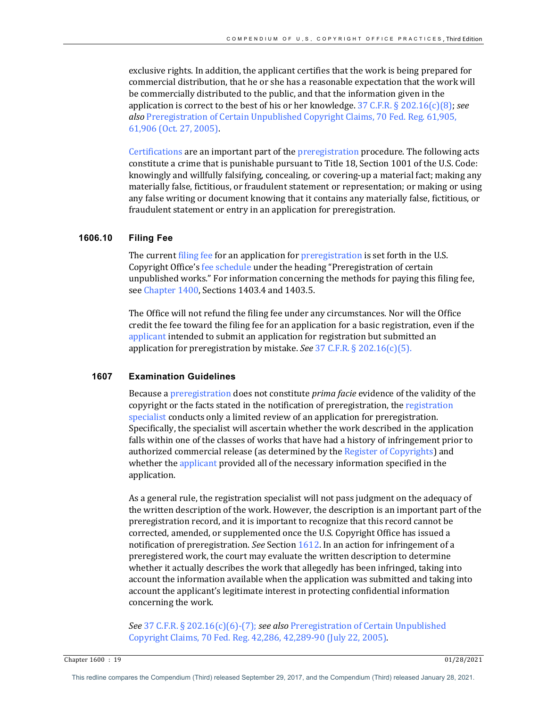exclusive rights. In addition, the applicant certifies that the work is being prepared for commercial distribution, that he or she has a reasonable expectation that the work will be commercially distributed to the public, and that the information given in the application is correct to the best of his or her knowledge.  $37 \text{ C.F.R.}$   $\S 202.16(c)(8)$ ; *see* also Preregistration of Certain Unpublished Copyright Claims, 70 Fed. Reg. 61,905, 61,906 (Oct. 27, 2005).

Certifications are an important part of the preregistration procedure. The following acts constitute a crime that is punishable pursuant to Title 18, Section 1001 of the U.S. Code: knowingly and willfully falsifying, concealing, or covering-up a material fact; making any materially false, fictitious, or fraudulent statement or representation; or making or using any false writing or document knowing that it contains any materially false, fictitious, or fraudulent statement or entry in an application for preregistration.

#### **1606.10 Filing Fee**

The current filing fee for an application for preregistration is set forth in the U.S. Copyright Office's fee schedule under the heading "Preregistration of certain unpublished works." For information concerning the methods for paying this filing fee, see *Chapter* 1400, Sections 1403.4 and 1403.5.

The Office will not refund the filing fee under any circumstances. Nor will the Office credit the fee toward the filing fee for an application for a basic registration, even if the applicant intended to submit an application for registration but submitted an application for preregistration by mistake. See 37 C.F.R. § 202.16(c)(5).

## **1607 Examination Guidelines**

Because a preregistration does not constitute *prima facie* evidence of the validity of the copyright or the facts stated in the notification of preregistration, the registration specialist conducts only a limited review of an application for preregistration. Specifically, the specialist will ascertain whether the work described in the application falls within one of the classes of works that have had a history of infringement prior to authorized commercial release (as determined by the Register of Copyrights) and whether the applicant provided all of the necessary information specified in the application.

As a general rule, the registration specialist will not pass judgment on the adequacy of the written description of the work. However, the description is an important part of the preregistration record, and it is important to recognize that this record cannot be corrected, amended, or supplemented once the U.S. Copyright Office has issued a notification of preregistration. See Section 1612. In an action for infringement of a preregistered work, the court may evaluate the written description to determine whether it actually describes the work that allegedly has been infringed, taking into account the information available when the application was submitted and taking into account the applicant's legitimate interest in protecting confidential information concerning the work.

*See* 37 C.F.R. § 202.16(c)(6)-(7); *see also* Preregistration of Certain Unpublished Copyright Claims, 70 Fed. Reg. 42,286, 42,289-90 (July 22, 2005).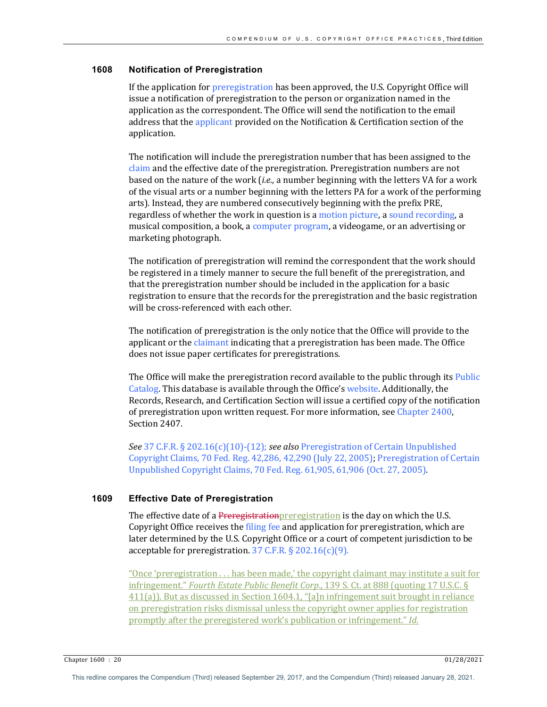# **1608 Notification of Preregistration**

If the application for preregistration has been approved, the U.S. Copyright Office will issue a notification of preregistration to the person or organization named in the application as the correspondent. The Office will send the notification to the email address that the applicant provided on the Notification & Certification section of the application. 

The notification will include the preregistration number that has been assigned to the claim and the effective date of the preregistration. Preregistration numbers are not based on the nature of the work (*i.e.*, a number beginning with the letters VA for a work of the visual arts or a number beginning with the letters PA for a work of the performing arts). Instead, they are numbered consecutively beginning with the prefix PRE, regardless of whether the work in question is a motion picture, a sound recording, a musical composition, a book, a computer program, a videogame, or an advertising or marketing photograph.

The notification of preregistration will remind the correspondent that the work should be registered in a timely manner to secure the full benefit of the preregistration, and that the preregistration number should be included in the application for a basic registration to ensure that the records for the preregistration and the basic registration will be cross-referenced with each other.

The notification of preregistration is the only notice that the Office will provide to the applicant or the claimant indicating that a preregistration has been made. The Office does not issue paper certificates for preregistrations.

The Office will make the preregistration record available to the public through its Public Catalog. This database is available through the Office's website. Additionally, the Records, Research, and Certification Section will issue a certified copy of the notification of preregistration upon written request. For more information, see Chapter 2400, Section 2407.

*See* 37 C.F.R. § 202.16(c)(10)-(12); *see also* Preregistration of Certain Unpublished Copyright Claims, 70 Fed. Reg. 42,286, 42,290 (July 22, 2005); Preregistration of Certain Unpublished Copyright Claims, 70 Fed. Reg. 61,905, 61,906 (Oct. 27, 2005).

#### **1609 Effective Date of Preregistration**

The effective date of a Preregistration preregistration is the day on which the U.S. Copyright Office receives the filing fee and application for preregistration, which are later determined by the U.S. Copyright Office or a court of competent jurisdiction to be acceptable for preregistration.  $37$  C.F.R. § 202.16(c)(9).

"Once 'preregistration  $\dots$  has been made,' the copyright claimant may institute a suit for infringement." *Fourth Estate Public Benefit Corp.*, 139 S. Ct. at 888 (quoting 17 U.S.C. §  $411(a)$ ). But as discussed in Section 1604.1, "[a]n infringement suit brought in reliance on preregistration risks dismissal unless the copyright owner applies for registration promptly after the preregistered work's publication or infringement." *Id.* 

Chapter 1600 : 20 01/28/2021